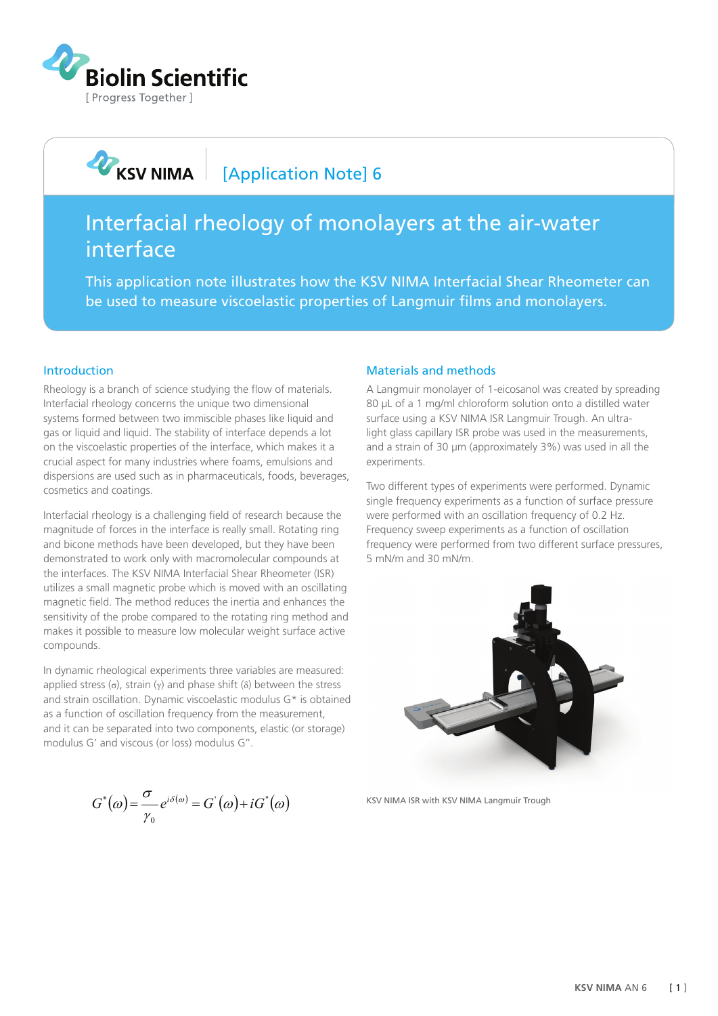

## **ORIGINAL REAL REAL REAL REAL REAL REAL RE** [Application Note] 6

# Interfacial rheology of monolayers at the air-water interface

This application note illustrates how the KSV NIMA Interfacial Shear Rheometer can be used to measure viscoelastic properties of Langmuir films and monolayers.

### Introduction

Rheology is a branch of science studying the flow of materials. Interfacial rheology concerns the unique two dimensional systems formed between two immiscible phases like liquid and gas or liquid and liquid. The stability of interface depends a lot on the viscoelastic properties of the interface, which makes it a crucial aspect for many industries where foams, emulsions and dispersions are used such as in pharmaceuticals, foods, beverages, cosmetics and coatings.

Interfacial rheology is a challenging field of research because the magnitude of forces in the interface is really small. Rotating ring and bicone methods have been developed, but they have been demonstrated to work only with macromolecular compounds at the interfaces. The KSV NIMA Interfacial Shear Rheometer (ISR) utilizes a small magnetic probe which is moved with an oscillating magnetic field. The method reduces the inertia and enhances the sensitivity of the probe compared to the rotating ring method and makes it possible to measure low molecular weight surface active compounds.

In dynamic rheological experiments three variables are measured: applied stress (σ), strain (γ) and phase shift ( $δ$ ) between the stress and strain oscillation. Dynamic viscoelastic modulus G\* is obtained as a function of oscillation frequency from the measurement, and it can be separated into two components, elastic (or storage) modulus G' and viscous (or loss) modulus G''.

$$
G^{\ast}(\omega) = \frac{\sigma}{\gamma_0} e^{i\delta(\omega)} = G^{\prime}(\omega) + iG^{\prime}(\omega)
$$

#### Materials and methods

A Langmuir monolayer of 1-eicosanol was created by spreading 80 μL of a 1 mg/ml chloroform solution onto a distilled water surface using a KSV NIMA ISR Langmuir Trough. An ultralight glass capillary ISR probe was used in the measurements, and a strain of 30 µm (approximately 3%) was used in all the experiments.

Two different types of experiments were performed. Dynamic single frequency experiments as a function of surface pressure were performed with an oscillation frequency of 0.2 Hz. Frequency sweep experiments as a function of oscillation frequency were performed from two different surface pressures, 5 mN/m and 30 mN/m.



KSV NIMA ISR with KSV NIMA Langmuir Trough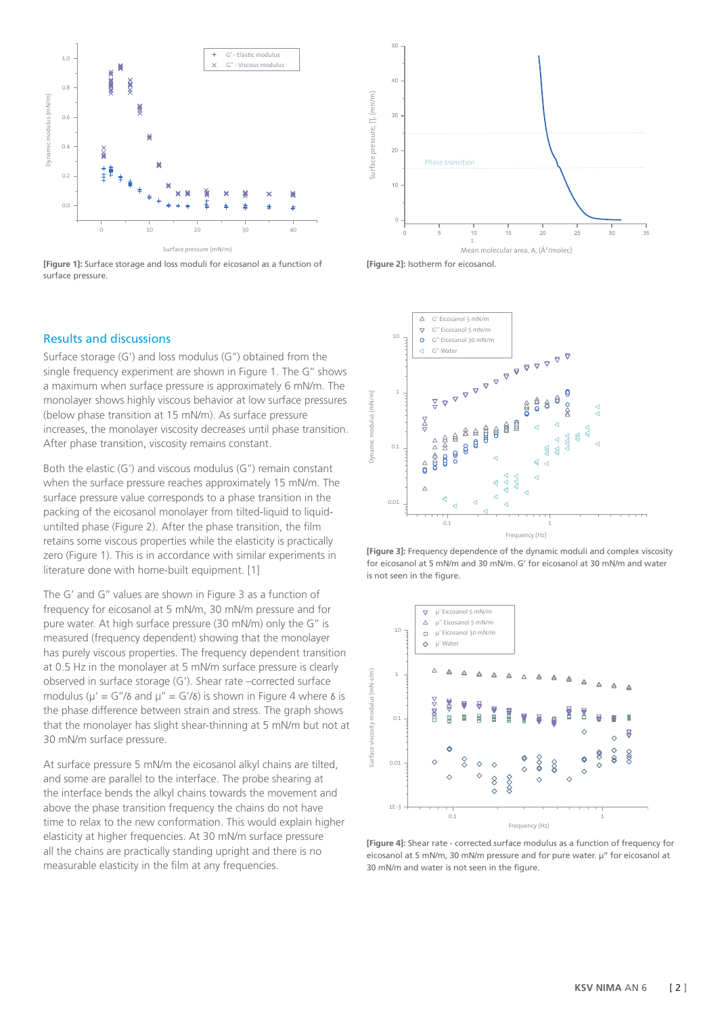

**[Figure 1]:** Surface storage and loss moduli for eicosanol as a function of surface pressure.



Surface storage (G') and loss modulus (G'') obtained from the single frequency experiment are shown in Figure 1. The G'' shows a maximum when surface pressure is approximately 6 mN/m. The monolayer shows highly viscous behavior at low surface pressures (below phase transition at 15 mN/m). As surface pressure increases, the monolayer viscosity decreases until phase transition. After phase transition, viscosity remains constant.

Both the elastic (G') and viscous modulus (G'') remain constant when the surface pressure reaches approximately 15 mN/m. The surface pressure value corresponds to a phase transition in the packing of the eicosanol monolayer from tilted-liquid to liquiduntilted phase (Figure 2). After the phase transition, the film retains some viscous properties while the elasticity is practically zero (Figure 1). This is in accordance with similar experiments in literature done with home-built equipment. [1]

The G' and G'' values are shown in Figure 3 as a function of frequency for eicosanol at 5 mN/m, 30 mN/m pressure and for pure water. At high surface pressure (30 mN/m) only the G'' is measured (frequency dependent) showing that the monolayer has purely viscous properties. The frequency dependent transition at 0.5 Hz in the monolayer at 5 mN/m surface pressure is clearly observed in surface storage (G'). Shear rate –corrected surface modulus ( $\mu' = G''/\delta$  and  $\mu'' = G'/\delta$ ) is shown in Figure 4 where  $\delta$  is the phase difference between strain and stress. The graph shows that the monolayer has slight shear-thinning at 5 mN/m but not at 30 mN/m surface pressure.

At surface pressure 5 mN/m the eicosanol alkyl chains are tilted, and some are parallel to the interface. The probe shearing at the interface bends the alkyl chains towards the movement and above the phase transition frequency the chains do not have time to relax to the new conformation. This would explain higher elasticity at higher frequencies. At 30 mN/m surface pressure all the chains are practically standing upright and there is no measurable elasticity in the film at any frequencies.





**[Figure 3]:** Frequency dependence of the dynamic moduli and complex viscosity for eicosanol at 5 mN/m and 30 mN/m. G' for eicosanol at 30 mN/m and water is not seen in the figure.



**[Figure 4]:** Shear rate - corrected surface modulus as a function of frequency for eicosanol at 5 mN/m, 30 mN/m pressure and for pure water. µ'' for eicosanol at 30 mN/m and water is not seen in the figure.